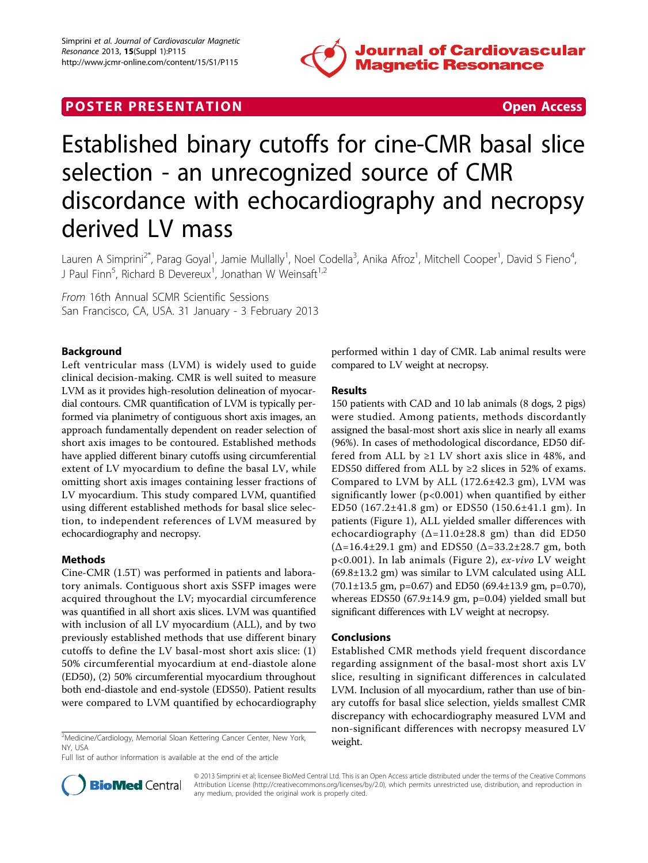

# **POSTER PRESENTATION CONSUMING THE SERVICE SERVICE SERVICES**



# Established binary cutoffs for cine-CMR basal slice selection - an unrecognized source of CMR discordance with echocardiography and necropsy derived LV mass

Lauren A Simprini<sup>2\*</sup>, Parag Goyal<sup>1</sup>, Jamie Mullally<sup>1</sup>, Noel Codella<sup>3</sup>, Anika Afroz<sup>1</sup>, Mitchell Cooper<sup>1</sup>, David S Fieno<sup>4</sup> , J Paul Finn<sup>5</sup>, Richard B Devereux<sup>1</sup>, Jonathan W Weinsaft<sup>1,2</sup>

From 16th Annual SCMR Scientific Sessions San Francisco, CA, USA. 31 January - 3 February 2013

# Background

Left ventricular mass (LVM) is widely used to guide clinical decision-making. CMR is well suited to measure LVM as it provides high-resolution delineation of myocardial contours. CMR quantification of LVM is typically performed via planimetry of contiguous short axis images, an approach fundamentally dependent on reader selection of short axis images to be contoured. Established methods have applied different binary cutoffs using circumferential extent of LV myocardium to define the basal LV, while omitting short axis images containing lesser fractions of LV myocardium. This study compared LVM, quantified using different established methods for basal slice selection, to independent references of LVM measured by echocardiography and necropsy.

## Methods

Cine-CMR (1.5T) was performed in patients and laboratory animals. Contiguous short axis SSFP images were acquired throughout the LV; myocardial circumference was quantified in all short axis slices. LVM was quantified with inclusion of all LV myocardium (ALL), and by two previously established methods that use different binary cutoffs to define the LV basal-most short axis slice: (1) 50% circumferential myocardium at end-diastole alone (ED50), (2) 50% circumferential myocardium throughout both end-diastole and end-systole (EDS50). Patient results were compared to LVM quantified by echocardiography

 $^{2}$ Medicine/Cardiology, Memorial Sloan Kettering Cancer Center, New York,  $^{2}$  weight. NY, USA

Full list of author information is available at the end of the article



#### Results

150 patients with CAD and 10 lab animals (8 dogs, 2 pigs) were studied. Among patients, methods discordantly assigned the basal-most short axis slice in nearly all exams (96%). In cases of methodological discordance, ED50 differed from ALL by  $\geq 1$  LV short axis slice in 48%, and EDS50 differed from ALL by  $\geq$ 2 slices in 52% of exams. Compared to LVM by ALL (172.6±42.3 gm), LVM was significantly lower ( $p<0.001$ ) when quantified by either ED50 (167.2±41.8 gm) or EDS50 (150.6±41.1 gm). In patients (Figure [1\)](#page-1-0), ALL yielded smaller differences with echocardiography  $(\Delta=11.0\pm28.8$  gm) than did ED50  $(\Delta = 16.4 \pm 29.1 \text{ gm})$  and EDS50  $(\Delta = 33.2 \pm 28.7 \text{ gm})$ , both p<0.001). In lab animals (Figure [2\)](#page-1-0), ex-vivo LV weight (69.8±13.2 gm) was similar to LVM calculated using ALL  $(70.1 \pm 13.5 \text{ gm}, \text{p=0.67})$  and ED50  $(69.4 \pm 13.9 \text{ gm}, \text{p=0.70})$ , whereas EDS50 (67.9±14.9 gm, p=0.04) yielded small but significant differences with LV weight at necropsy.

## Conclusions

Established CMR methods yield frequent discordance regarding assignment of the basal-most short axis LV slice, resulting in significant differences in calculated LVM. Inclusion of all myocardium, rather than use of binary cutoffs for basal slice selection, yields smallest CMR discrepancy with echocardiography measured LVM and non-significant differences with necropsy measured LV



© 2013 Simprini et al; licensee BioMed Central Ltd. This is an Open Access article distributed under the terms of the Creative Commons Attribution License [\(http://creativecommons.org/licenses/by/2.0](http://creativecommons.org/licenses/by/2.0)), which permits unrestricted use, distribution, and reproduction in any medium, provided the original work is properly cited.